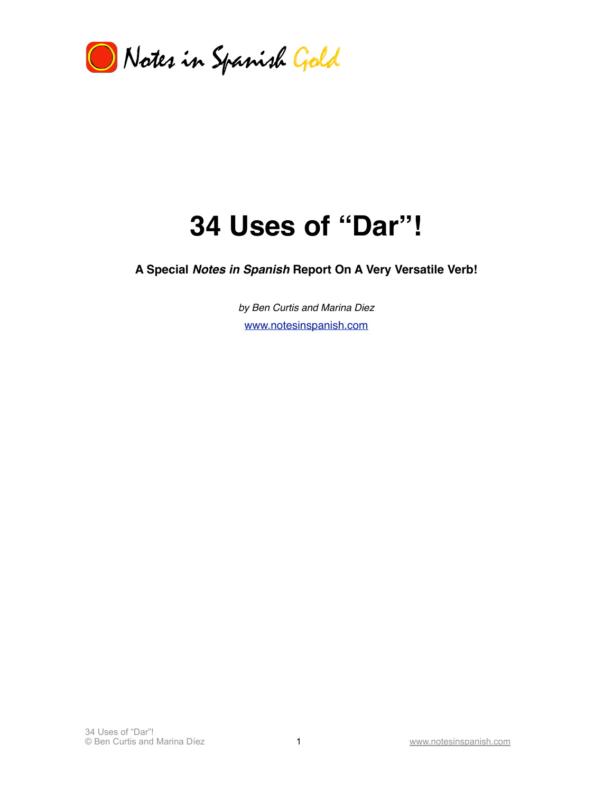

# **34 Uses of "Dar"!**

**A Special** *Notes in Spanish* **Report On A Very Versatile Verb!**

*by Ben Curtis and Marina Diez* [www.notesinspanish.com](http://www.notesinspanish.com)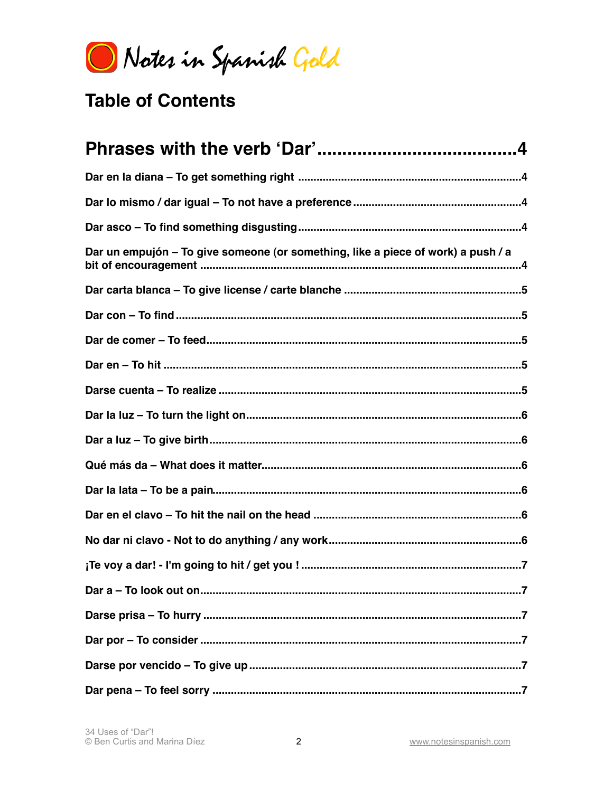Notes in Spanish Gold

# **Table of Contents**

| Dar un empujón – To give someone (or something, like a piece of work) a push / a |
|----------------------------------------------------------------------------------|
|                                                                                  |
|                                                                                  |
|                                                                                  |
|                                                                                  |
|                                                                                  |
|                                                                                  |
|                                                                                  |
|                                                                                  |
|                                                                                  |
|                                                                                  |
|                                                                                  |
|                                                                                  |
|                                                                                  |
|                                                                                  |
|                                                                                  |
|                                                                                  |
|                                                                                  |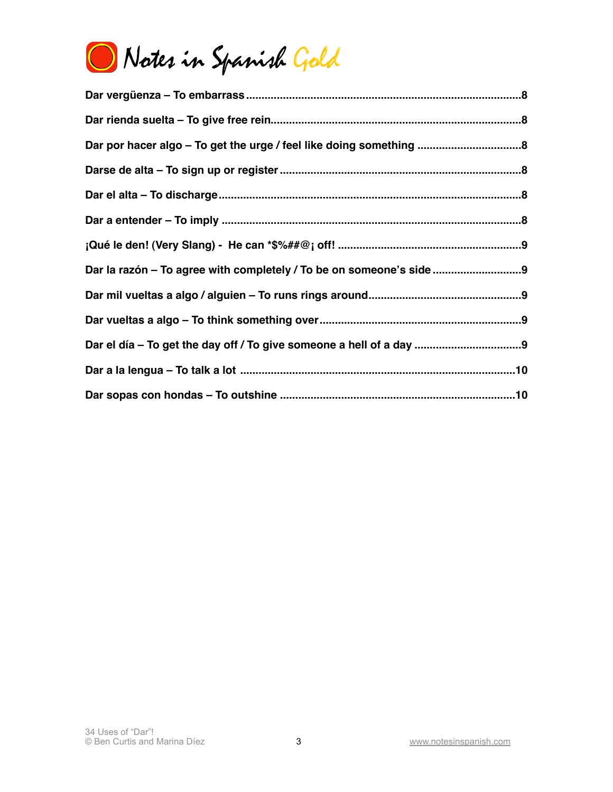

| Dar la razón - To agree with completely / To be on someone's side |
|-------------------------------------------------------------------|
|                                                                   |
|                                                                   |
|                                                                   |
|                                                                   |
|                                                                   |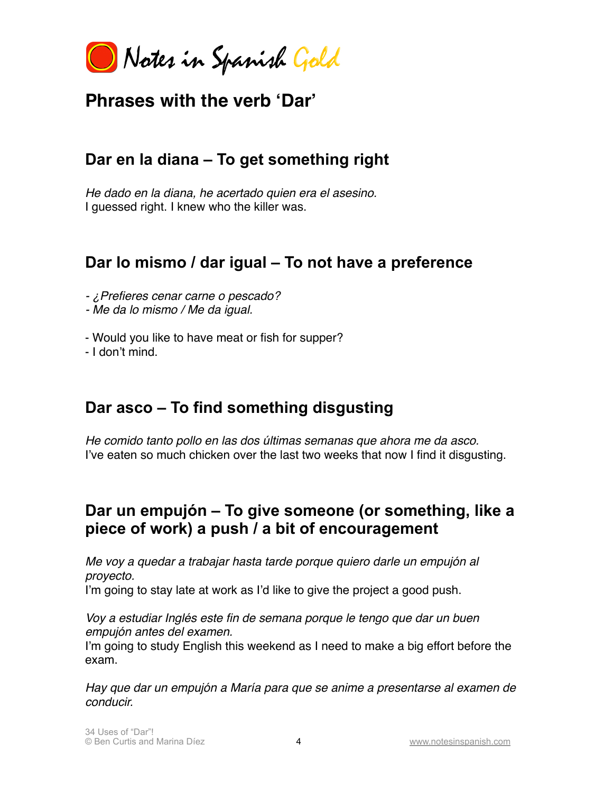Notes in Spanish Gold

# <span id="page-3-0"></span>**Phrases with the verb ʻDar'**

# <span id="page-3-1"></span>**Dar en la diana – To get something right**

*He dado en la diana, he acertado quien era el asesino.* I guessed right. I knew who the killer was.

# <span id="page-3-2"></span>**Dar lo mismo / dar igual – To not have a preference**

- *- ¿Prefieres cenar carne o pescado?*
- *- Me da lo mismo / Me da igual.*
- Would you like to have meat or fish for supper?

- I don't mind.

# <span id="page-3-3"></span>**Dar asco – To find something disgusting**

*He comido tanto pollo en las dos últimas semanas que ahora me da asco.* I've eaten so much chicken over the last two weeks that now I find it disgusting.

# <span id="page-3-4"></span>**Dar un empujón – To give someone (or something, like a piece of work) a push / a bit of encouragement**

*Me voy a quedar a trabajar hasta tarde porque quiero darle un empujón al proyecto.*

I'm going to stay late at work as I'd like to give the project a good push.

*Voy a estudiar Inglés este fin de semana porque le tengo que dar un buen empujón antes del examen.* 

I'm going to study English this weekend as I need to make a big effort before the exam.

*Hay que dar un empujón a María para que se anime a presentarse al examen de conducir.*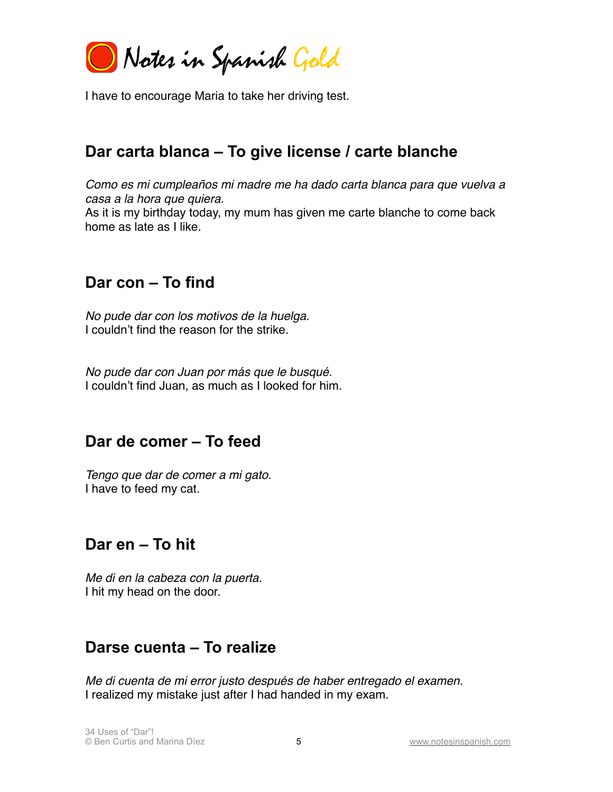Notes in Spanish Gold

I have to encourage Maria to take her driving test.

#### <span id="page-4-0"></span>**Dar carta blanca – To give license / carte blanche**

*Como es mi cumpleaños mi madre me ha dado carta blanca para que vuelva a casa a la hora que quiera.* As it is my birthday today, my mum has given me carte blanche to come back home as late as I like.

#### <span id="page-4-1"></span>**Dar con – To find**

*No pude dar con los motivos de la huelga.* I couldn't find the reason for the strike.

*No pude dar con Juan por más que le busqué.* I couldn't find Juan, as much as I looked for him.

#### <span id="page-4-2"></span>**Dar de comer – To feed**

*Tengo que dar de comer a mi gato.* I have to feed my cat.

#### <span id="page-4-3"></span>**Dar en – To hit**

*Me di en la cabeza con la puerta.* I hit my head on the door.

#### <span id="page-4-4"></span>**Darse cuenta – To realize**

*Me di cuenta de mi error justo después de haber entregado el examen.* I realized my mistake just after I had handed in my exam.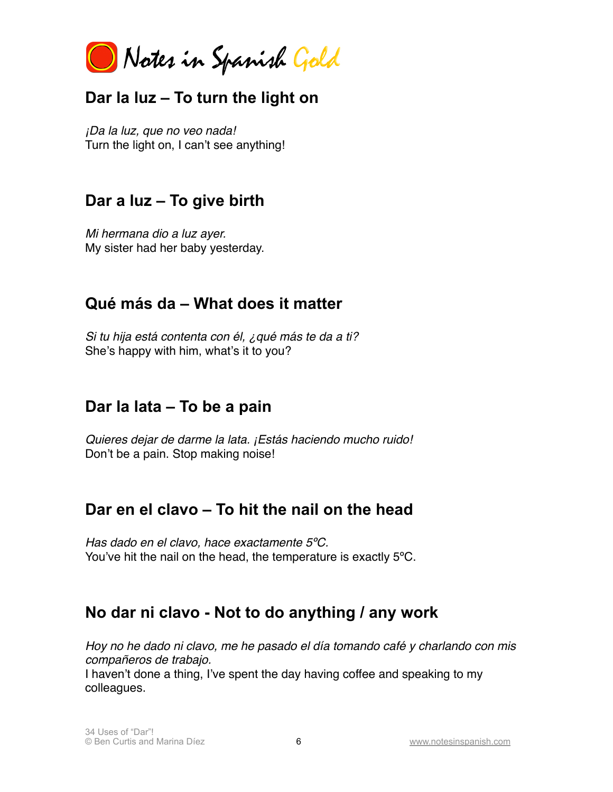Notes in Spanish Gold

# <span id="page-5-0"></span>**Dar la luz – To turn the light on**

*¡Da la luz, que no veo nada!* Turn the light on, I can't see anything!

## <span id="page-5-1"></span>**Dar a luz – To give birth**

*Mi hermana dio a luz ayer.* My sister had her baby yesterday.

# <span id="page-5-2"></span>**Qué más da – What does it matter**

*Si tu hija está contenta con él, ¿qué más te da a ti?* She's happy with him, what's it to you?

#### <span id="page-5-3"></span>**Dar la lata – To be a pain**

*Quieres dejar de darme la lata. ¡Estás haciendo mucho ruido!* Don't be a pain. Stop making noise!

#### <span id="page-5-4"></span>**Dar en el clavo – To hit the nail on the head**

*Has dado en el clavo, hace exactamente 5ºC.* You've hit the nail on the head, the temperature is exactly 5ºC.

# <span id="page-5-5"></span>**No dar ni clavo - Not to do anything / any work**

*Hoy no he dado ni clavo, me he pasado el día tomando café y charlando con mis compañeros de trabajo.*

I haven't done a thing, I've spent the day having coffee and speaking to my colleagues.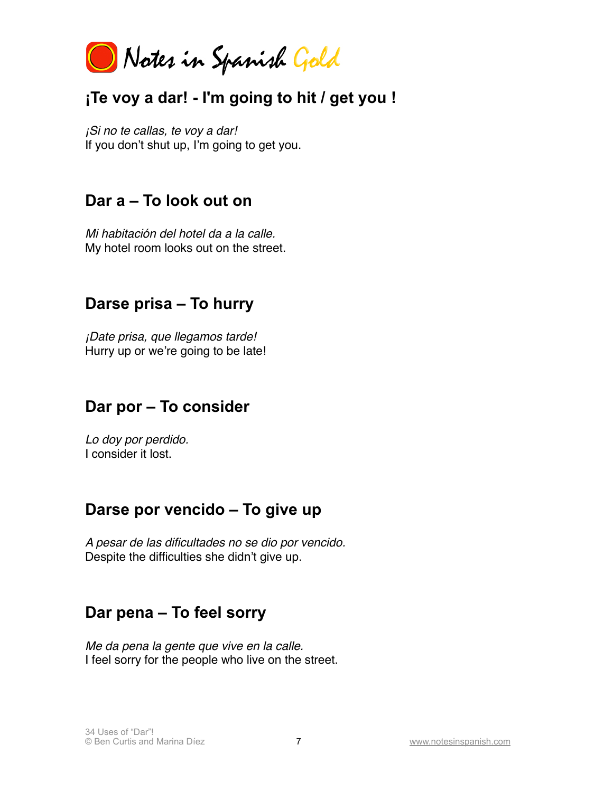Notes in Spanish Gold

# <span id="page-6-0"></span>**¡Te voy a dar! - I'm going to hit / get you !**

*¡Si no te callas, te voy a dar!* If you don't shut up, I'm going to get you.

#### <span id="page-6-1"></span>**Dar a – To look out on**

*Mi habitación del hotel da a la calle.* My hotel room looks out on the street.

#### <span id="page-6-2"></span>**Darse prisa – To hurry**

*¡Date prisa, que llegamos tarde!* Hurry up or we're going to be late!

#### <span id="page-6-3"></span>**Dar por – To consider**

*Lo doy por perdido.* I consider it lost.

#### <span id="page-6-4"></span>**Darse por vencido – To give up**

*A pesar de las dificultades no se dio por vencido.* Despite the difficulties she didn't give up.

# <span id="page-6-5"></span>**Dar pena – To feel sorry**

*Me da pena la gente que vive en la calle.* I feel sorry for the people who live on the street.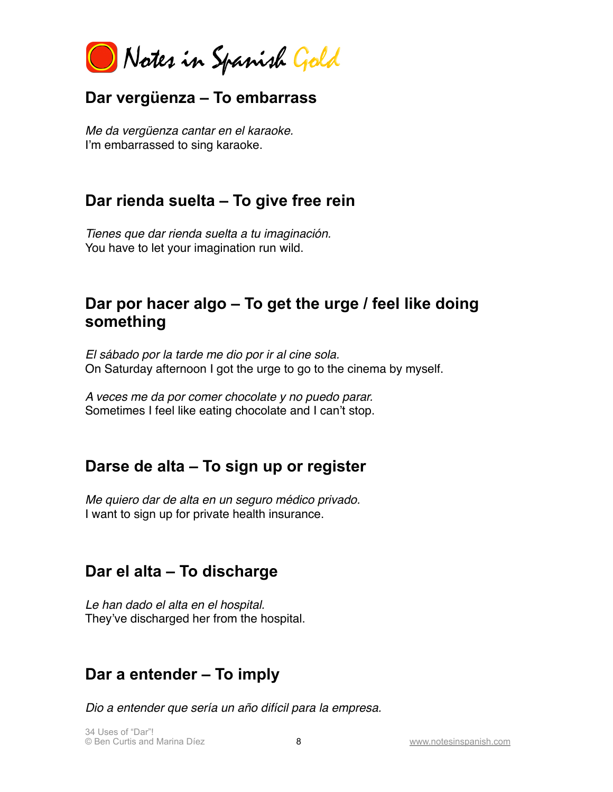Notes in Spanish Gold

#### <span id="page-7-0"></span>**Dar vergüenza – To embarrass**

*Me da vergüenza cantar en el karaoke.* I'm embarrassed to sing karaoke.

#### <span id="page-7-1"></span>**Dar rienda suelta – To give free rein**

*Tienes que dar rienda suelta a tu imaginación.* You have to let your imagination run wild.

# <span id="page-7-2"></span>**Dar por hacer algo – To get the urge / feel like doing something**

*El sábado por la tarde me dio por ir al cine sola.* On Saturday afternoon I got the urge to go to the cinema by myself.

*A veces me da por comer chocolate y no puedo parar.* Sometimes I feel like eating chocolate and I can't stop.

#### <span id="page-7-3"></span>**Darse de alta – To sign up or register**

*Me quiero dar de alta en un seguro médico privado.* I want to sign up for private health insurance.

#### <span id="page-7-4"></span>**Dar el alta – To discharge**

*Le han dado el alta en el hospital.* They've discharged her from the hospital.

# <span id="page-7-5"></span>**Dar a entender – To imply**

*Dio a entender que sería un año difícil para la empresa.*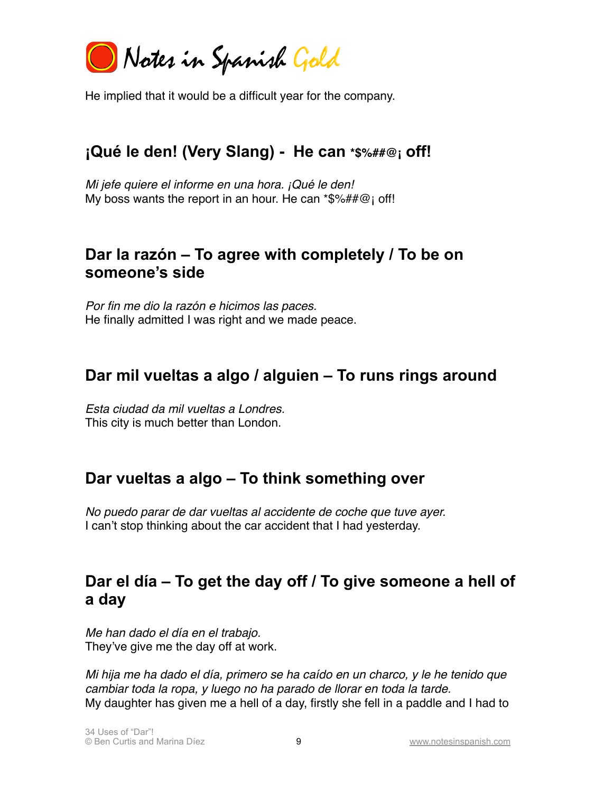Notes in Spanish Gold

He implied that it would be a difficult year for the company.

# <span id="page-8-0"></span>**¡Qué le den! (Very Slang) - He can \*\$%##@¡ off!**

*Mi jefe quiere el informe en una hora. ¡Qué le den!* My boss wants the report in an hour. He can \*\$%##@; off!

#### <span id="page-8-1"></span>**Dar la razón – To agree with completely / To be on someone's side**

*Por fin me dio la razón e hicimos las paces.* He finally admitted I was right and we made peace.

#### <span id="page-8-2"></span>**Dar mil vueltas a algo / alguien – To runs rings around**

*Esta ciudad da mil vueltas a Londres.* This city is much better than London.

#### <span id="page-8-3"></span>**Dar vueltas a algo – To think something over**

*No puedo parar de dar vueltas al accidente de coche que tuve ayer.* I can't stop thinking about the car accident that I had yesterday.

# <span id="page-8-4"></span>**Dar el día – To get the day off / To give someone a hell of a day**

*Me han dado el día en el trabajo.* They've give me the day off at work.

*Mi hija me ha dado el día, primero se ha caído en un charco, y le he tenido que cambiar toda la ropa, y luego no ha parado de llorar en toda la tarde.* My daughter has given me a hell of a day, firstly she fell in a paddle and I had to